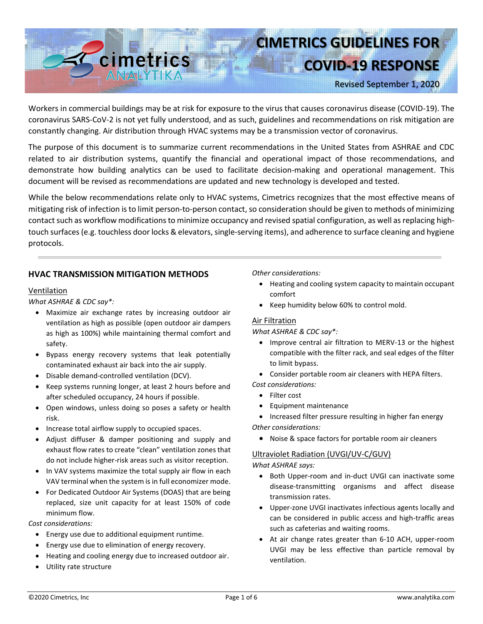

# **CIMETRICS GUIDELINES FOR**

**COVID-19 RESPONSE**

Revised September 1, 2020

Workers in commercial buildings may be at risk for exposure to the virus that causes coronavirus disease (COVID-19). The coronavirus SARS-CoV-2 is not yet fully understood, and as such, guidelines and recommendations on risk mitigation are constantly changing. Air distribution through HVAC systems may be a transmission vector of coronavirus.

The purpose of this document is to summarize current recommendations in the United States from ASHRAE and CDC related to air distribution systems, quantify the financial and operational impact of those recommendations, and demonstrate how building analytics can be used to facilitate decision-making and operational management. This document will be revised as recommendations are updated and new technology is developed and tested.

While the below recommendations relate only to HVAC systems, Cimetrics recognizes that the most effective means of mitigating risk of infection is to limit person-to-person contact, so consideration should be given to methods of minimizing contact such as workflow modifications to minimize occupancy and revised spatial configuration, as well as replacing hightouch surfaces(e.g. touchless door locks & elevators, single-serving items), and adherence to surface cleaning and hygiene protocols.

### **HVAC TRANSMISSION MITIGATION METHODS**

#### Ventilation

*What ASHRAE & CDC say\*:*

- Maximize air exchange rates by increasing outdoor air ventilation as high as possible (open outdoor air dampers as high as 100%) while maintaining thermal comfort and safety.
- Bypass energy recovery systems that leak potentially contaminated exhaust air back into the air supply.
- Disable demand-controlled ventilation (DCV).
- Keep systems running longer, at least 2 hours before and after scheduled occupancy, 24 hours if possible.
- Open windows, unless doing so poses a safety or health risk.
- Increase total airflow supply to occupied spaces.
- Adjust diffuser & damper positioning and supply and exhaust flow rates to create "clean" ventilation zones that do not include higher-risk areas such as visitor reception.
- In VAV systems maximize the total supply air flow in each VAV terminal when the system is in full economizer mode.
- For Dedicated Outdoor Air Systems (DOAS) that are being replaced, size unit capacity for at least 150% of code minimum flow.

*Cost considerations:*

- Energy use due to additional equipment runtime.
- Energy use due to elimination of energy recovery.
- Heating and cooling energy due to increased outdoor air.
- Utility rate structure

*Other considerations:*

- Heating and cooling system capacity to maintain occupant comfort
- Keep humidity below 60% to control mold.

#### Air Filtration

#### *What ASHRAE & CDC say\*:*

- Improve central air filtration to MERV-13 or the highest compatible with the filter rack, and seal edges of the filter to limit bypass.
- Consider portable room air cleaners with HEPA filters. *Cost considerations:*
	- Filter cost
	- Equipment maintenance
- Increased filter pressure resulting in higher fan energy *Other considerations:* 
	- Noise & space factors for portable room air cleaners

# Ultraviolet Radiation (UVGI/UV-C/GUV)

*What ASHRAE says:*

- Both Upper-room and in-duct UVGI can inactivate some disease-transmitting organisms and affect disease transmission rates.
- Upper-zone UVGI inactivates infectious agents locally and can be considered in public access and high-traffic areas such as cafeterias and waiting rooms.
- At air change rates greater than 6-10 ACH, upper-room UVGI may be less effective than particle removal by ventilation.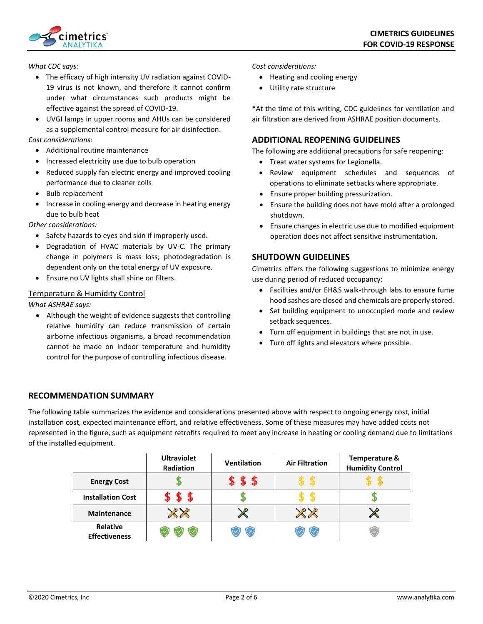

*What CDC says:*

- The efficacy of high intensity UV radiation against COVID-19 virus is not known, and therefore it cannot confirm under what circumstances such products might be effective against the spread of COVID-19.
- UVGI lamps in upper rooms and AHUs can be considered as a supplemental control measure for air disinfection.

*Cost considerations:*

- Additional routine maintenance
- Increased electricity use due to bulb operation
- Reduced supply fan electric energy and improved cooling performance due to cleaner coils
- Bulb replacement
- Increase in cooling energy and decrease in heating energy due to bulb heat

*Other considerations:*

- Safety hazards to eyes and skin if improperly used.
- Degradation of HVAC materials by UV-C. The primary change in polymers is mass loss; photodegradation is dependent only on the total energy of UV exposure.
- Ensure no UV lights shall shine on filters.

#### Temperature & Humidity Control

#### *What ASHRAE says:*

• Although the weight of evidence suggests that controlling relative humidity can reduce transmission of certain airborne infectious organisms, a broad recommendation cannot be made on indoor temperature and humidity control for the purpose of controlling infectious disease.

*Cost considerations:*

- Heating and cooling energy
- Utility rate structure

\*At the time of this writing, CDC guidelines for ventilation and air filtration are derived from ASHRAE position documents.

#### **ADDITIONAL REOPENING GUIDELINES**

The following are additional precautions for safe reopening:

- Treat water systems for Legionella.
- Review equipment schedules and sequences of operations to eliminate setbacks where appropriate.
- Ensure proper building pressurization.
- Ensure the building does not have mold after a prolonged shutdown.
- Ensure changes in electric use due to modified equipment operation does not affect sensitive instrumentation.

#### **SHUTDOWN GUIDELINES**

Cimetrics offers the following suggestions to minimize energy use during period of reduced occupancy:

- Facilities and/or EH&S walk-through labs to ensure fume hood sashes are closed and chemicals are properly stored.
- Set building equipment to unoccupied mode and review setback sequences.
- Turn off equipment in buildings that are not in use.
- Turn off lights and elevators where possible.

# **RECOMMENDATION SUMMARY**

The following table summarizes the evidence and considerations presented above with respect to ongoing energy cost, initial installation cost, expected maintenance effort, and relative effectiveness. Some of these measures may have added costs not represented in the figure, such as equipment retrofits required to meet any increase in heating or cooling demand due to limitations of the installed equipment.

|                                         | <b>Ultraviolet</b><br><b>Radiation</b> | <b>Ventilation</b> | <b>Air Filtration</b> | <b>Temperature &amp;</b><br><b>Humidity Control</b> |
|-----------------------------------------|----------------------------------------|--------------------|-----------------------|-----------------------------------------------------|
| <b>Energy Cost</b>                      |                                        | \$                 |                       |                                                     |
| <b>Installation Cost</b>                | S                                      |                    |                       |                                                     |
| <b>Maintenance</b>                      |                                        |                    |                       | $\mathbb{X}$                                        |
| <b>Relative</b><br><b>Effectiveness</b> |                                        |                    |                       |                                                     |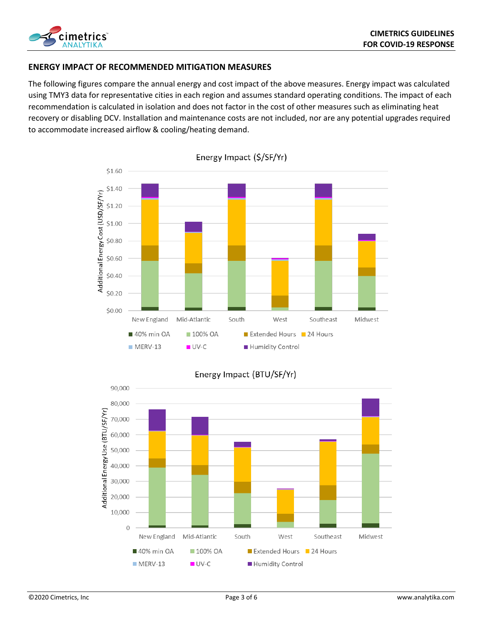

# **ENERGY IMPACT OF RECOMMENDED MITIGATION MEASURES**

The following figures compare the annual energy and cost impact of the above measures. Energy impact was calculated using TMY3 data for representative cities in each region and assumes standard operating conditions. The impact of each recommendation is calculated in isolation and does not factor in the cost of other measures such as eliminating heat recovery or disabling DCV. Installation and maintenance costs are not included, nor are any potential upgrades required to accommodate increased airflow & cooling/heating demand.



Energy Impact (\$/SF/Yr)



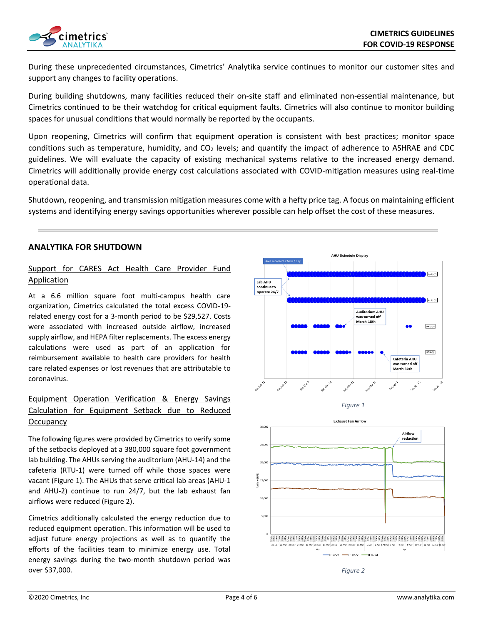

During these unprecedented circumstances, Cimetrics' Analytika service continues to monitor our customer sites and support any changes to facility operations.

During building shutdowns, many facilities reduced their on-site staff and eliminated non-essential maintenance, but Cimetrics continued to be their watchdog for critical equipment faults. Cimetrics will also continue to monitor building spaces for unusual conditions that would normally be reported by the occupants.

Upon reopening, Cimetrics will confirm that equipment operation is consistent with best practices; monitor space conditions such as temperature, humidity, and  $CO<sub>2</sub>$  levels; and quantify the impact of adherence to ASHRAE and CDC guidelines. We will evaluate the capacity of existing mechanical systems relative to the increased energy demand. Cimetrics will additionally provide energy cost calculations associated with COVID-mitigation measures using real-time operational data.

Shutdown, reopening, and transmission mitigation measures come with a hefty price tag. A focus on maintaining efficient systems and identifying energy savings opportunities wherever possible can help offset the cost of these measures.

#### **ANALYTIKA FOR SHUTDOWN**

# Support for CARES Act Health Care Provider Fund Application

At a 6.6 million square foot multi-campus health care organization, Cimetrics calculated the total excess COVID-19 related energy cost for a 3-month period to be \$29,527. Costs were associated with increased outside airflow, increased supply airflow, and HEPA filter replacements. The excess energy calculations were used as part of an application for reimbursement available to health care providers for health care related expenses or lost revenues that are attributable to coronavirus.

# Equipment Operation Verification & Energy Savings Calculation for Equipment Setback due to Reduced **Occupancy**

The following figures were provided by Cimetrics to verify some of the setbacks deployed at a 380,000 square foot government lab building. The AHUs serving the auditorium (AHU-14) and the cafeteria (RTU-1) were turned off while those spaces were vacant (Figure 1). The AHUs that serve critical lab areas (AHU-1 and AHU-2) continue to run 24/7, but the lab exhaust fan airflows were reduced (Figure 2).

Cimetrics additionally calculated the energy reduction due to reduced equipment operation. This information will be used to adjust future energy projections as well as to quantify the efforts of the facilities team to minimize energy use. Total energy savings during the two-month shutdown period was over \$37,000.







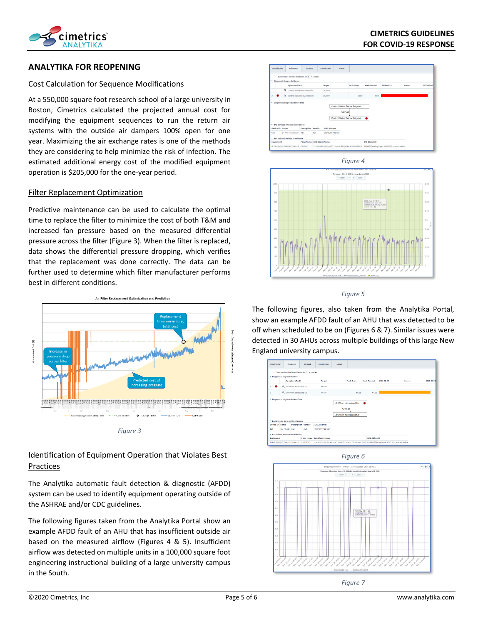

# **ANALYTIKA FOR REOPENING**

#### Cost Calculation for Sequence Modifications

At a 550,000 square foot research school of a large university in Boston, Cimetrics calculated the projected annual cost for modifying the equipment sequences to run the return air systems with the outside air dampers 100% open for one year. Maximizing the air exchange rates is one of the methods they are considering to help minimize the risk of infection. The estimated additional energy cost of the modified equipment operation is \$205,000 for the one-year period.

#### Filter Replacement Optimization

Predictive maintenance can be used to calculate the optimal time to replace the filter to minimize the cost of both T&M and increased fan pressure based on the measured differential pressure across the filter (Figure 3). When the filter is replaced, data shows the differential pressure dropping, which verifies that the replacement was done correctly. The data can be further used to determine which filter manufacturer performs best in different conditions.





# Identification of Equipment Operation that Violates Best Practices

The Analytika automatic fault detection & diagnostic (AFDD) system can be used to identify equipment operating outside of the ASHRAE and/or CDC guidelines.

The following figures taken from the Analytika Portal show an example AFDD fault of an AHU that has insufficient outside air based on the measured airflow (Figures 4 & 5). Insufficient airflow was detected on multiple units in a 100,000 square foot engineering instructional building of a large university campus in the South.





#### *Figure 5*

The following figures, also taken from the Analytika Portal, show an example AFDD fault of an AHU that was detected to be off when scheduled to be on (Figures 6 & 7). Similar issues were detected in 30 AHUs across multiple buildings of this large New England university campus.



*Figure 6*



*Figure 7*